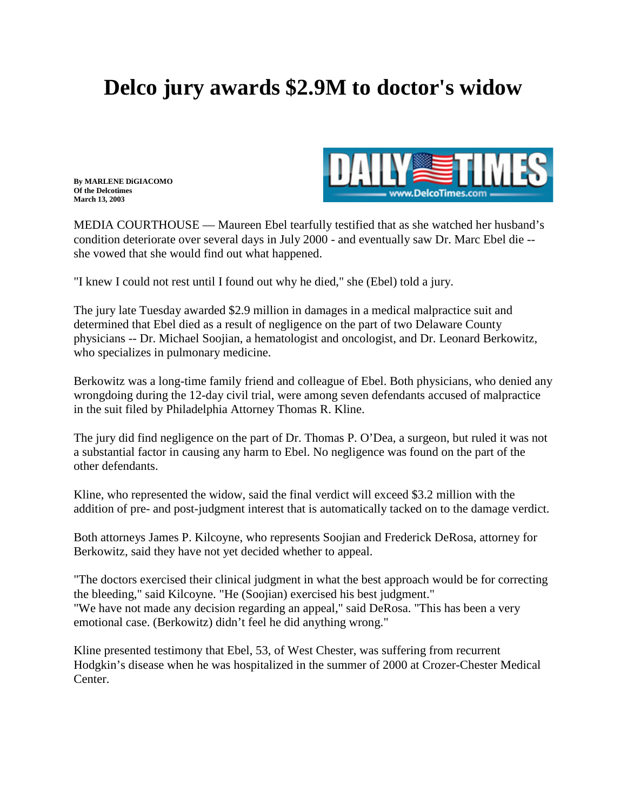## **Delco jury awards \$2.9M to doctor's widow**

**By MARLENE DiGIACOMO Of the Delcotimes March 13, 2003**



MEDIA COURTHOUSE — Maureen Ebel tearfully testified that as she watched her husband's condition deteriorate over several days in July 2000 - and eventually saw Dr. Marc Ebel die - she vowed that she would find out what happened.

"I knew I could not rest until I found out why he died," she (Ebel) told a jury.

The jury late Tuesday awarded \$2.9 million in damages in a medical malpractice suit and determined that Ebel died as a result of negligence on the part of two Delaware County physicians -- Dr. Michael Soojian, a hematologist and oncologist, and Dr. Leonard Berkowitz, who specializes in pulmonary medicine.

Berkowitz was a long-time family friend and colleague of Ebel. Both physicians, who denied any wrongdoing during the 12-day civil trial, were among seven defendants accused of malpractice in the suit filed by Philadelphia Attorney [Thomas R. Kline.](http://www.klinespecter.com/kline.html)

The jury did find negligence on the part of Dr. Thomas P. O'Dea, a surgeon, but ruled it was not a substantial factor in causing any harm to Ebel. No negligence was found on the part of the other defendants.

Kline, who represented the widow, said the final verdict will exceed \$3.2 million with the addition of pre- and post-judgment interest that is automatically tacked on to the damage verdict.

Both attorneys James P. Kilcoyne, who represents Soojian and Frederick DeRosa, attorney for Berkowitz, said they have not yet decided whether to appeal.

"The doctors exercised their clinical judgment in what the best approach would be for correcting the bleeding," said Kilcoyne. "He (Soojian) exercised his best judgment." "We have not made any decision regarding an appeal," said DeRosa. "This has been a very emotional case. (Berkowitz) didn't feel he did anything wrong."

Kline presented testimony that Ebel, 53, of West Chester, was suffering from recurrent Hodgkin's disease when he was hospitalized in the summer of 2000 at Crozer-Chester Medical Center.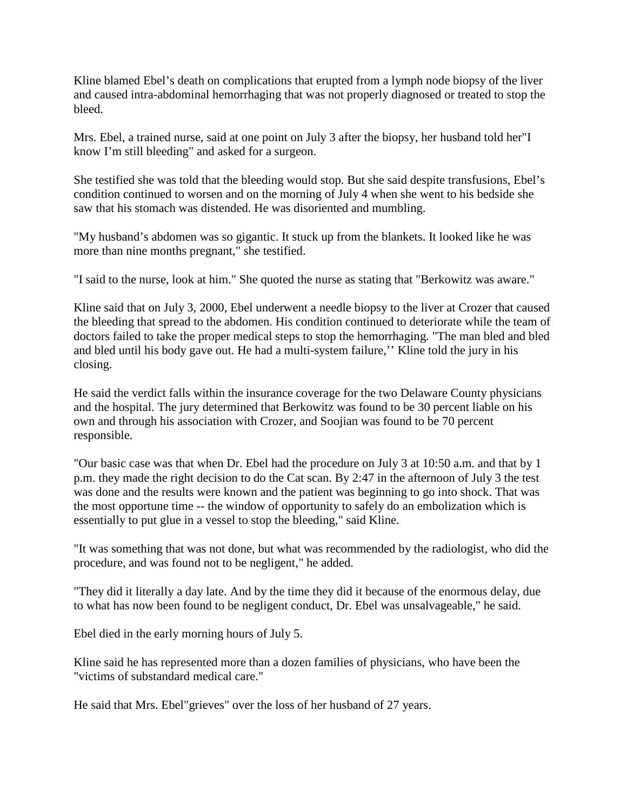Kline blamed Ebel's death on complications that erupted from a lymph node biopsy of the liver and caused intra-abdominal hemorrhaging that was not properly diagnosed or treated to stop the bleed.

Mrs. Ebel, a trained nurse, said at one point on July 3 after the biopsy, her husband told her"I know I'm still bleeding" and asked for a surgeon.

She testified she was told that the bleeding would stop. But she said despite transfusions, Ebel's condition continued to worsen and on the morning of July 4 when she went to his bedside she saw that his stomach was distended. He was disoriented and mumbling.

"My husband's abdomen was so gigantic. It stuck up from the blankets. It looked like he was more than nine months pregnant," she testified.

"I said to the nurse, look at him." She quoted the nurse as stating that "Berkowitz was aware."

Kline said that on July 3, 2000, Ebel underwent a needle biopsy to the liver at Crozer that caused the bleeding that spread to the abdomen. His condition continued to deteriorate while the team of doctors failed to take the proper medical steps to stop the hemorrhaging. "The man bled and bled and bled until his body gave out. He had a multi-system failure,'' Kline told the jury in his closing.

He said the verdict falls within the insurance coverage for the two Delaware County physicians and the hospital. The jury determined that Berkowitz was found to be 30 percent liable on his own and through his association with Crozer, and Soojian was found to be 70 percent responsible.

"Our basic case was that when Dr. Ebel had the procedure on July 3 at 10:50 a.m. and that by 1 p.m. they made the right decision to do the Cat scan. By 2:47 in the afternoon of July 3 the test was done and the results were known and the patient was beginning to go into shock. That was the most opportune time -- the window of opportunity to safely do an embolization which is essentially to put glue in a vessel to stop the bleeding," said Kline.

"It was something that was not done, but what was recommended by the radiologist, who did the procedure, and was found not to be negligent," he added.

"They did it literally a day late. And by the time they did it because of the enormous delay, due to what has now been found to be negligent conduct, Dr. Ebel was unsalvageable," he said.

Ebel died in the early morning hours of July 5.

Kline said he has represented more than a dozen families of physicians, who have been the "victims of substandard medical care."

He said that Mrs. Ebel"grieves" over the loss of her husband of 27 years.